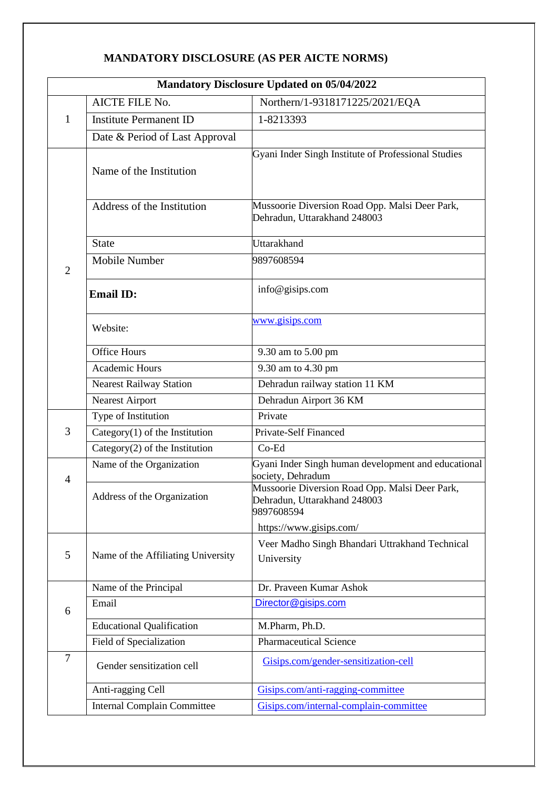# **MANDATORY DISCLOSURE (AS PER AICTE NORMS)**

|                |                                    | <b>Mandatory Disclosure Updated on 05/04/2022</b>                                            |  |  |  |  |  |  |
|----------------|------------------------------------|----------------------------------------------------------------------------------------------|--|--|--|--|--|--|
|                | AICTE FILE No.                     | Northern/1-9318171225/2021/EQA                                                               |  |  |  |  |  |  |
| $\mathbf{1}$   | <b>Institute Permanent ID</b>      | 1-8213393                                                                                    |  |  |  |  |  |  |
|                | Date & Period of Last Approval     |                                                                                              |  |  |  |  |  |  |
|                | Name of the Institution            | Gyani Inder Singh Institute of Professional Studies                                          |  |  |  |  |  |  |
|                | Address of the Institution         | Mussoorie Diversion Road Opp. Malsi Deer Park,<br>Dehradun, Uttarakhand 248003               |  |  |  |  |  |  |
|                | <b>State</b>                       | <b>Uttarakhand</b>                                                                           |  |  |  |  |  |  |
| $\overline{2}$ | Mobile Number                      | 9897608594                                                                                   |  |  |  |  |  |  |
|                | <b>Email ID:</b>                   | info@gisips.com                                                                              |  |  |  |  |  |  |
|                | Website:                           | www.gisips.com                                                                               |  |  |  |  |  |  |
|                | <b>Office Hours</b>                | 9.30 am to 5.00 pm                                                                           |  |  |  |  |  |  |
|                | Academic Hours                     | 9.30 am to 4.30 pm                                                                           |  |  |  |  |  |  |
|                | <b>Nearest Railway Station</b>     | Dehradun railway station 11 KM                                                               |  |  |  |  |  |  |
|                | <b>Nearest Airport</b>             | Dehradun Airport 36 KM                                                                       |  |  |  |  |  |  |
|                | Type of Institution                | Private                                                                                      |  |  |  |  |  |  |
| 3              | Category $(1)$ of the Institution  | <b>Private-Self Financed</b>                                                                 |  |  |  |  |  |  |
|                | Category $(2)$ of the Institution  | $Co-Ed$                                                                                      |  |  |  |  |  |  |
| $\overline{4}$ | Name of the Organization           | Gyani Inder Singh human development and educational<br>society, Dehradum                     |  |  |  |  |  |  |
|                | Address of the Organization        | Mussoorie Diversion Road Opp. Malsi Deer Park,<br>Dehradun, Uttarakhand 248003<br>9897608594 |  |  |  |  |  |  |
|                |                                    | https://www.gisips.com/                                                                      |  |  |  |  |  |  |
| 5              | Name of the Affiliating University | Veer Madho Singh Bhandari Uttrakhand Technical<br>University                                 |  |  |  |  |  |  |
|                | Name of the Principal              | Dr. Praveen Kumar Ashok                                                                      |  |  |  |  |  |  |
| 6              | Email                              | Director@gisips.com                                                                          |  |  |  |  |  |  |
|                | <b>Educational Qualification</b>   | M.Pharm, Ph.D.                                                                               |  |  |  |  |  |  |
|                | Field of Specialization            | <b>Pharmaceutical Science</b>                                                                |  |  |  |  |  |  |
| $\overline{7}$ | Gender sensitization cell          | Gisips.com/gender-sensitization-cell                                                         |  |  |  |  |  |  |
|                | Anti-ragging Cell                  | Gisips.com/anti-ragging-committee                                                            |  |  |  |  |  |  |
|                | <b>Internal Complain Committee</b> | Gisips.com/internal-complain-committee                                                       |  |  |  |  |  |  |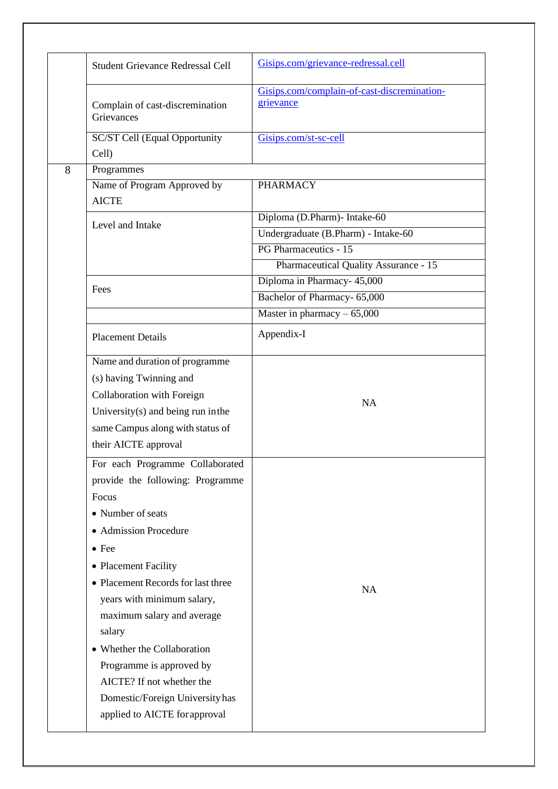|   | <b>Student Grievance Redressal Cell</b>       | Gisips.com/grievance-redressal.cell                                 |
|---|-----------------------------------------------|---------------------------------------------------------------------|
|   | Complain of cast-discremination<br>Grievances | Gisips.com/complain-of-cast-discremination-<br>grievance            |
|   | SC/ST Cell (Equal Opportunity<br>Cell)        | Gisips.com/st-sc-cell                                               |
| 8 | Programmes                                    |                                                                     |
|   | Name of Program Approved by<br><b>AICTE</b>   | <b>PHARMACY</b>                                                     |
|   | Level and Intake                              | Diploma (D.Pharm)- Intake-60<br>Undergraduate (B.Pharm) - Intake-60 |
|   |                                               | PG Pharmaceutics - 15                                               |
|   |                                               | <b>Pharmaceutical Quality Assurance - 15</b>                        |
|   |                                               | Diploma in Pharmacy- 45,000                                         |
|   | Fees                                          | Bachelor of Pharmacy- 65,000                                        |
|   |                                               | Master in pharmacy $-65,000$                                        |
|   | <b>Placement Details</b>                      | Appendix-I                                                          |
|   | Name and duration of programme                |                                                                     |
|   | (s) having Twinning and                       |                                                                     |
|   | Collaboration with Foreign                    | <b>NA</b>                                                           |
|   | University $(s)$ and being run in the         |                                                                     |
|   | same Campus along with status of              |                                                                     |
|   | their AICTE approval                          |                                                                     |
|   | For each Programme Collaborated               |                                                                     |
|   | provide the following: Programme              |                                                                     |
|   | Focus                                         |                                                                     |
|   | • Number of seats                             |                                                                     |
|   | • Admission Procedure                         |                                                                     |
|   | $\bullet$ Fee                                 |                                                                     |
|   | • Placement Facility                          |                                                                     |
|   | • Placement Records for last three            | <b>NA</b>                                                           |
|   | years with minimum salary,                    |                                                                     |
|   | maximum salary and average                    |                                                                     |
|   | salary                                        |                                                                     |
|   | • Whether the Collaboration                   |                                                                     |
|   | Programme is approved by                      |                                                                     |
|   | AICTE? If not whether the                     |                                                                     |
|   | Domestic/Foreign University has               |                                                                     |
|   | applied to AICTE for approval                 |                                                                     |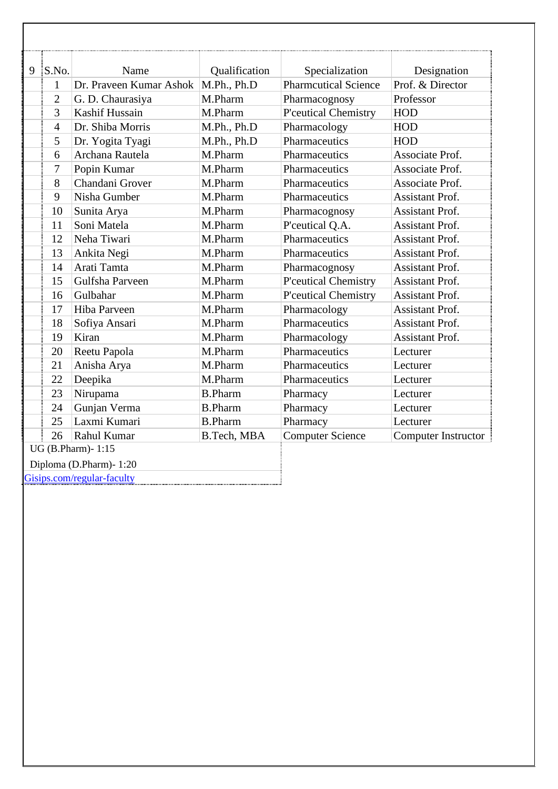| 9 S.No.        | Name                    | Qualification  | Specialization              | Designation            |
|----------------|-------------------------|----------------|-----------------------------|------------------------|
| 1              | Dr. Praveen Kumar Ashok | M.Ph., Ph.D    | <b>Pharmcutical Science</b> | Prof. & Director       |
| $\overline{2}$ | G. D. Chaurasiya        | M.Pharm        | Pharmacognosy               | Professor              |
| $\overline{3}$ | <b>Kashif Hussain</b>   | M.Pharm        | P'ceutical Chemistry        | <b>HOD</b>             |
| $\overline{4}$ | Dr. Shiba Morris        | M.Ph., Ph.D    | Pharmacology                | <b>HOD</b>             |
| 5              | Dr. Yogita Tyagi        | M.Ph., Ph.D    | Pharmaceutics               | <b>HOD</b>             |
| 6              | Archana Rautela         | M.Pharm        | Pharmaceutics               | Associate Prof.        |
| $\tau$         | Popin Kumar             | M.Pharm        | Pharmaceutics               | Associate Prof.        |
| 8              | Chandani Grover         | M.Pharm        | Pharmaceutics               | Associate Prof.        |
| 9              | Nisha Gumber            | M.Pharm        | Pharmaceutics               | <b>Assistant Prof.</b> |
| 10             | Sunita Arya             | M.Pharm        | Pharmacognosy               | <b>Assistant Prof.</b> |
| 11             | Soni Matela             | M.Pharm        | P'ceutical Q.A.             | <b>Assistant Prof.</b> |
| 12             | Neha Tiwari             | M.Pharm        | Pharmaceutics               | <b>Assistant Prof.</b> |
| 13             | Ankita Negi             | M.Pharm        | Pharmaceutics               | <b>Assistant Prof.</b> |
| 14             | Arati Tamta             | M.Pharm        | Pharmacognosy               | <b>Assistant Prof.</b> |
| 15             | Gulfsha Parveen         | M.Pharm        | P'ceutical Chemistry        | <b>Assistant Prof.</b> |
| 16             | Gulbahar                | M.Pharm        | P'ceutical Chemistry        | <b>Assistant Prof.</b> |
| 17             | Hiba Parveen            | M.Pharm        | Pharmacology                | <b>Assistant Prof.</b> |
| 18             | Sofiya Ansari           | M.Pharm        | Pharmaceutics               | Assistant Prof.        |
| 19             | Kiran                   | M.Pharm        | Pharmacology                | <b>Assistant Prof.</b> |
| 20             | Reetu Papola            | M.Pharm        | Pharmaceutics               | Lecturer               |
| 21             | Anisha Arya             | M.Pharm        | Pharmaceutics               | Lecturer               |
| 22             | Deepika                 | M.Pharm        | Pharmaceutics               | Lecturer               |
| 23             | Nirupama                | <b>B.Pharm</b> | Pharmacy                    | Lecturer               |
| 24             | Gunjan Verma            | <b>B.Pharm</b> | Pharmacy                    | Lecturer               |
| 25             | Laxmi Kumari            | <b>B.Pharm</b> | Pharmacy                    | Lecturer               |
| 26             | Rahul Kumar             | B.Tech, MBA    | <b>Computer Science</b>     | Computer Instructor    |

Gisips.com/regular-faculty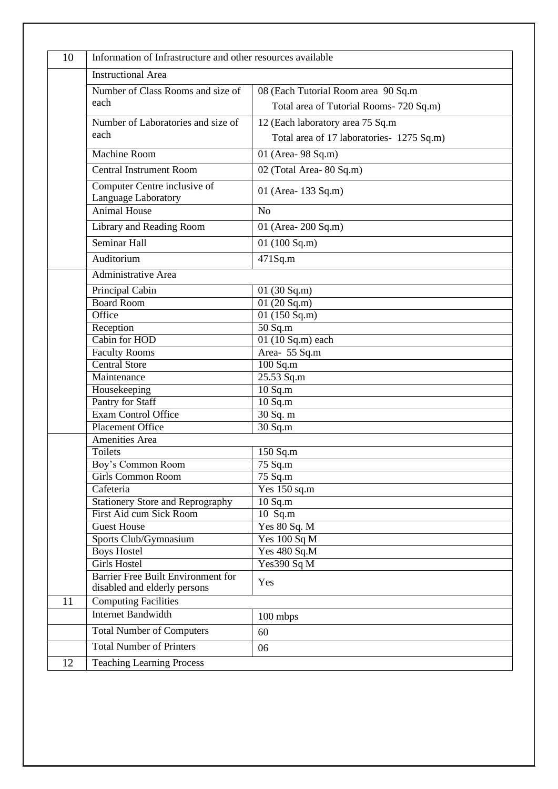| <b>Instructional Area</b>                                          |                                           |
|--------------------------------------------------------------------|-------------------------------------------|
|                                                                    |                                           |
| Number of Class Rooms and size of                                  | 08 (Each Tutorial Room area 90 Sq.m       |
| each                                                               | Total area of Tutorial Rooms- 720 Sq.m)   |
| Number of Laboratories and size of                                 | 12 (Each laboratory area 75 Sq.m          |
| each                                                               | Total area of 17 laboratories- 1275 Sq.m) |
| <b>Machine Room</b>                                                | 01 (Area- 98 Sq.m)                        |
| <b>Central Instrument Room</b>                                     | 02 (Total Area- 80 Sq.m)                  |
|                                                                    |                                           |
| Computer Centre inclusive of<br>Language Laboratory                | 01 (Area-133 Sq.m)                        |
| <b>Animal House</b>                                                | No                                        |
| Library and Reading Room                                           | 01 (Area-200 Sq.m)                        |
| Seminar Hall                                                       | 01 $(100 \text{ Sq.m})$                   |
| Auditorium                                                         | 471Sq.m                                   |
| Administrative Area                                                |                                           |
| Principal Cabin                                                    | 01 $(30 \text{ Sq.m})$                    |
| <b>Board Room</b>                                                  | 01 $(20$ Sq.m)                            |
| Office                                                             | 01(150 Sq.m)                              |
| Reception                                                          | 50 Sq.m                                   |
| Cabin for HOD                                                      | 01 (10 Sq.m) each                         |
| <b>Faculty Rooms</b>                                               | Area- 55 Sq.m                             |
| <b>Central Store</b>                                               | $100$ Sq.m                                |
| Maintenance                                                        | 25.53 Sq.m                                |
| Housekeeping                                                       | $10$ Sq.m                                 |
| Pantry for Staff                                                   | $10$ Sq.m                                 |
| <b>Exam Control Office</b>                                         | 30 Sq. m                                  |
| <b>Placement Office</b>                                            | 30 Sq.m                                   |
| Amenities Area                                                     |                                           |
| <b>Toilets</b>                                                     | 150 Sq.m                                  |
| Boy's Common Room                                                  | 75 Sq.m                                   |
| <b>Girls Common Room</b>                                           | 75 Sq.m                                   |
| Cafeteria                                                          | Yes 150 sq.m                              |
| <b>Stationery Store and Reprography</b>                            | $10$ Sq.m                                 |
| First Aid cum Sick Room                                            | 10 Sq.m                                   |
| <b>Guest House</b>                                                 | Yes 80 Sq. M                              |
| Sports Club/Gymnasium                                              | Yes 100 Sq M                              |
| <b>Boys Hostel</b>                                                 | Yes 480 Sq.M                              |
| <b>Girls Hostel</b>                                                | Yes390 Sq M                               |
| Barrier Free Built Environment for<br>disabled and elderly persons | Yes                                       |
| <b>Computing Facilities</b>                                        |                                           |
| <b>Internet Bandwidth</b>                                          | 100 mbps                                  |
| <b>Total Number of Computers</b>                                   | 60                                        |
| <b>Total Number of Printers</b>                                    | 06                                        |
| <b>Teaching Learning Process</b>                                   |                                           |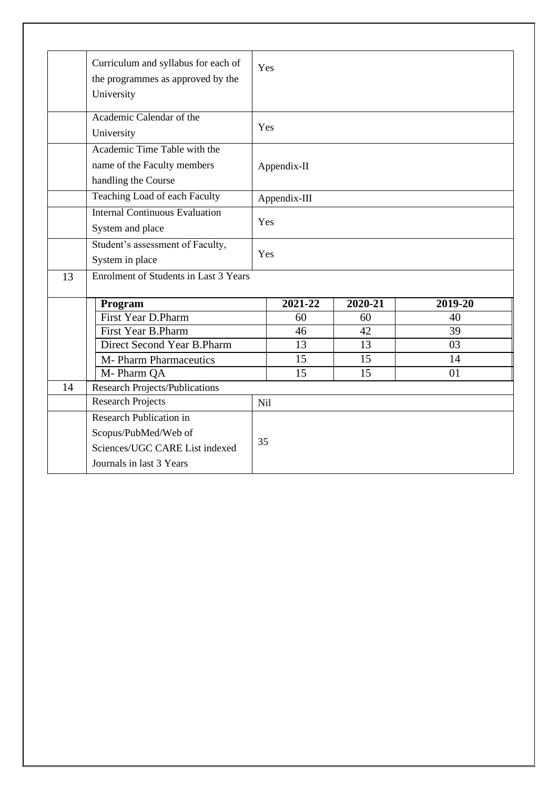|    | Curriculum and syllabus for each of          | Yes             |              |             |             |  |
|----|----------------------------------------------|-----------------|--------------|-------------|-------------|--|
|    | the programmes as approved by the            |                 |              |             |             |  |
|    | University                                   |                 |              |             |             |  |
|    | Academic Calendar of the                     |                 |              |             |             |  |
|    | University                                   | Yes             |              |             |             |  |
|    | Academic Time Table with the                 |                 |              |             |             |  |
|    | name of the Faculty members                  |                 | Appendix-II  |             |             |  |
|    | handling the Course                          |                 |              |             |             |  |
|    | Teaching Load of each Faculty                |                 | Appendix-III |             |             |  |
|    | <b>Internal Continuous Evaluation</b>        |                 |              |             |             |  |
|    | System and place                             |                 | Yes          |             |             |  |
|    | Student's assessment of Faculty,             |                 |              |             |             |  |
|    | System in place                              | Yes             |              |             |             |  |
| 13 | <b>Enrolment of Students in Last 3 Years</b> |                 |              |             |             |  |
|    | Program                                      |                 | 2021-22      | $2020 - 21$ | $2019 - 20$ |  |
|    | <b>First Year D.Pharm</b>                    |                 | 60           | 60          | 40          |  |
|    | First Year B.Pharm                           |                 | 46           | 42          | 39          |  |
|    | Direct Second Year B.Pharm                   |                 | 13           | 13          | 03          |  |
|    | <b>M- Pharm Pharmaceutics</b>                |                 | 15           | 15          | 14          |  |
|    | M-Pharm QA                                   |                 | 15           | 15          | 01          |  |
| 14 | <b>Research Projects/Publications</b>        |                 |              |             |             |  |
|    | <b>Research Projects</b>                     | N <sub>il</sub> |              |             |             |  |
|    | Research Publication in                      |                 |              |             |             |  |
|    | Scopus/PubMed/Web of                         |                 |              |             |             |  |
|    | Sciences/UGC CARE List indexed               | 35              |              |             |             |  |
|    | Journals in last 3 Years                     |                 |              |             |             |  |
|    |                                              |                 |              |             |             |  |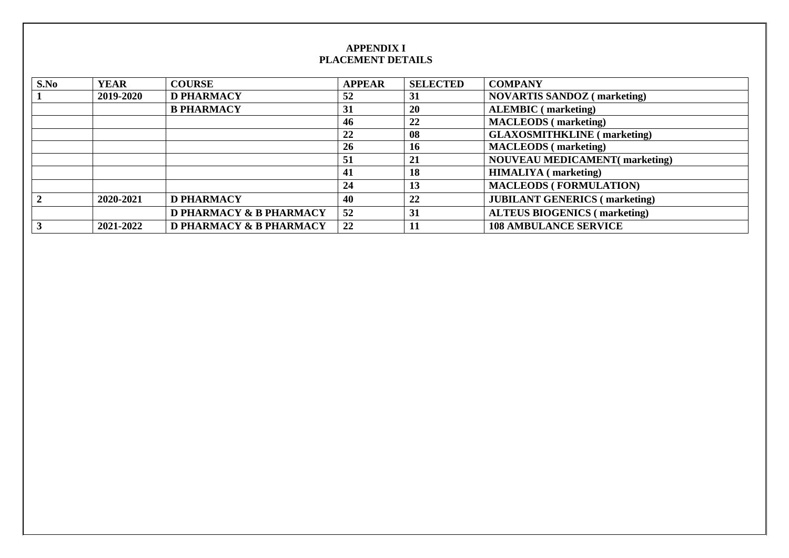### **APPENDIX I PLACEMENT DETAILS**

| S.No | <b>YEAR</b> | <b>COURSE</b>                      | <b>APPEAR</b> | <b>SELECTED</b> | <b>COMPANY</b>                       |
|------|-------------|------------------------------------|---------------|-----------------|--------------------------------------|
|      | 2019-2020   | <b>D PHARMACY</b>                  | 52            | 31              | <b>NOVARTIS SANDOZ</b> (marketing)   |
|      |             | <b>B PHARMACY</b>                  | 31            | 20              | <b>ALEMBIC</b> (marketing)           |
|      |             |                                    | 46            | 22              | <b>MACLEODS</b> (marketing)          |
|      |             |                                    | 22            | 08              | <b>GLAXOSMITHKLINE</b> (marketing)   |
|      |             |                                    | 26            | 16              | <b>MACLEODS</b> (marketing)          |
|      |             |                                    | 51            | 21              | <b>NOUVEAU MEDICAMENT(marketing)</b> |
|      |             |                                    | 41            | 18              | <b>HIMALIYA</b> (marketing)          |
|      |             |                                    | 24            | 13              | <b>MACLEODS (FORMULATION)</b>        |
|      | 2020-2021   | <b>D PHARMACY</b>                  | 40            | 22              | <b>JUBILANT GENERICS</b> (marketing) |
|      |             | <b>D PHARMACY &amp; B PHARMACY</b> | 52            | 31              | <b>ALTEUS BIOGENICS</b> (marketing)  |
|      | 2021-2022   | <b>D PHARMACY &amp; B PHARMACY</b> | 22            | 11              | <b>108 AMBULANCE SERVICE</b>         |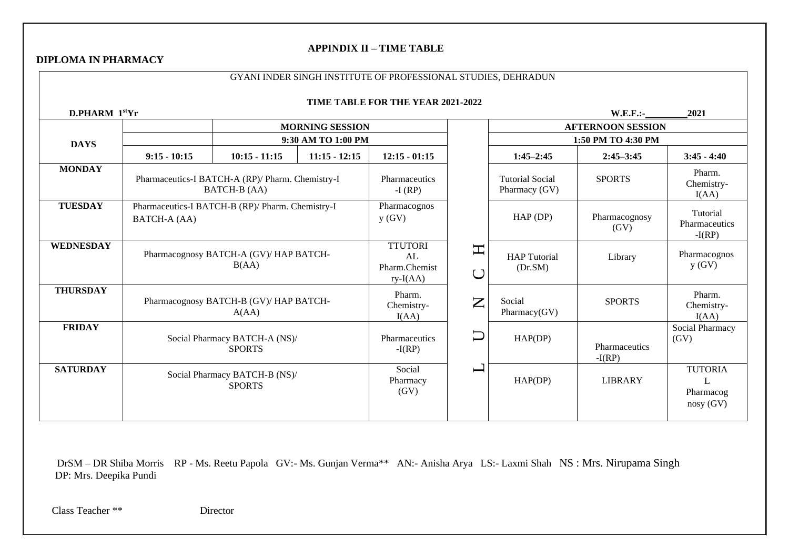## **APPINDIX II – TIME TABLE**

### **DIPLOMA IN PHARMACY**

|                  | GYANI INDER SINGH INSTITUTE OF PROFESSIONAL STUDIES, DEHRADUN |                                                                         |                        |                                                     |                                 |                                         |                           |                                              |
|------------------|---------------------------------------------------------------|-------------------------------------------------------------------------|------------------------|-----------------------------------------------------|---------------------------------|-----------------------------------------|---------------------------|----------------------------------------------|
|                  |                                                               |                                                                         |                        | TIME TABLE FOR THE YEAR 2021-2022                   |                                 |                                         |                           |                                              |
| D.PHARM 1stYr    |                                                               |                                                                         |                        |                                                     |                                 |                                         | $W.E.F.$ :-               | 2021                                         |
|                  |                                                               |                                                                         | <b>MORNING SESSION</b> |                                                     |                                 |                                         | <b>AFTERNOON SESSION</b>  |                                              |
| <b>DAYS</b>      |                                                               |                                                                         | 9:30 AM TO 1:00 PM     |                                                     |                                 |                                         | 1:50 PM TO 4:30 PM        |                                              |
|                  | $9:15 - 10:15$                                                | $10:15 - 11:15$                                                         | $11:15 - 12:15$        | $12:15 - 01:15$                                     |                                 | $1:45 - 2:45$                           | $2:45 - 3:45$             | $3:45 - 4:40$                                |
| <b>MONDAY</b>    |                                                               | Pharmaceutics-I BATCH-A (RP)/ Pharm. Chemistry-I<br><b>BATCH-B (AA)</b> |                        | Pharmaceutics<br>$-I$ (RP)                          |                                 | <b>Tutorial Social</b><br>Pharmacy (GV) | <b>SPORTS</b>             | Pharm.<br>Chemistry-<br>I(AA)                |
| <b>TUESDAY</b>   | BATCH-A (AA)                                                  | Pharmaceutics-I BATCH-B (RP)/ Pharm. Chemistry-I                        |                        | Pharmacognos<br>y(GV)                               |                                 | $HAP$ (DP)                              | Pharmacognosy<br>(GV)     | Tutorial<br>Pharmaceutics<br>$-I(RP)$        |
| <b>WEDNESDAY</b> |                                                               | Pharmacognosy BATCH-A (GV)/ HAP BATCH-<br>B(AA)                         |                        | <b>TTUTORI</b><br>AL<br>Pharm.Chemist<br>$ry-I(AA)$ | $\boldsymbol{\Xi}$<br>$\bigcup$ | <b>HAP</b> Tutorial<br>(Dr.SM)          | Library                   | Pharmacognos<br>y(GV)                        |
| <b>THURSDAY</b>  |                                                               | Pharmacognosy BATCH-B (GV)/ HAP BATCH-<br>A(AA)                         |                        | Pharm.<br>Chemistry-<br>I(AA)                       | $\mathsf{Z}$                    | Social<br>Pharmacy(GV)                  | <b>SPORTS</b>             | Pharm.<br>Chemistry-<br>I(AA)                |
| <b>FRIDAY</b>    |                                                               | Social Pharmacy BATCH-A (NS)/<br><b>SPORTS</b>                          |                        | Pharmaceutics<br>$-I(RP)$                           | $\Box$                          | HAP(DP)                                 | Pharmaceutics<br>$-I(RP)$ | Social Pharmacy<br>(GV)                      |
| <b>SATURDAY</b>  |                                                               | Social Pharmacy BATCH-B (NS)/<br><b>SPORTS</b>                          |                        | Social<br>Pharmacy<br>(GV)                          | $\overline{\phantom{0}}$        | HAP(DP)                                 | <b>LIBRARY</b>            | <b>TUTORIA</b><br>L<br>Pharmacog<br>nosy(GV) |

 DrSM – DR Shiba Morris RP - Ms. Reetu Papola GV:- Ms. Gunjan Verma\*\* AN:- Anisha Arya LS:- Laxmi Shah NS : Mrs. Nirupama Singh DP: Mrs. Deepika Pundi

Class Teacher \*\* Director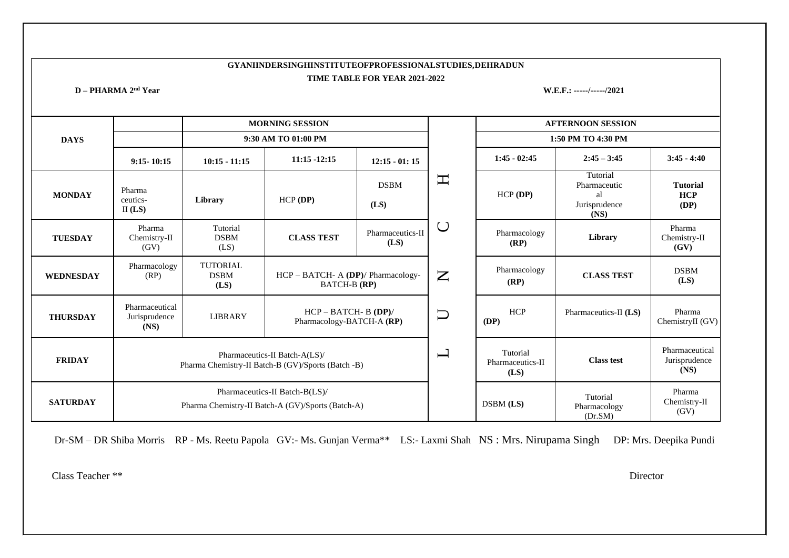### **GYANIINDERSINGHINSTITUTEOFPROFESSIONALSTUDIES,DEHRADUN TIME TABLE FOR YEAR 2021-2022**

**D – PHARMA 2nd Year W.E.F.: -----/-----/2021**

|                  |                                         |                                        | <b>MORNING SESSION</b>                                                              |                                       |                          |                                      | <b>AFTERNOON SESSION</b>                                |                                         |
|------------------|-----------------------------------------|----------------------------------------|-------------------------------------------------------------------------------------|---------------------------------------|--------------------------|--------------------------------------|---------------------------------------------------------|-----------------------------------------|
| <b>DAYS</b>      |                                         |                                        | 9:30 AM TO 01:00 PM                                                                 |                                       |                          |                                      | 1:50 PM TO 4:30 PM                                      |                                         |
|                  | $9:15 - 10:15$                          | $10:15 - 11:15$                        | $11:15 - 12:15$                                                                     | $12:15 - 01:15$                       |                          | $1:45 - 02:45$                       | $2:45 - 3:45$                                           | $3:45 - 4:40$                           |
| <b>MONDAY</b>    | Pharma<br>ceutics-<br>II $(LS)$         | Library                                | $HCP$ (DP)                                                                          | $\mathbf{\Pi}$<br><b>DSBM</b><br>(LS) |                          | $HCP$ (DP)                           | Tutorial<br>Pharmaceutic<br>al<br>Jurisprudence<br>(NS) | <b>Tutorial</b><br><b>HCP</b><br>(DP)   |
| <b>TUESDAY</b>   | Pharma<br>Chemistry-II<br>(GV)          | Tutorial<br><b>DSBM</b><br>(LS)        | <b>CLASS TEST</b>                                                                   | Pharmaceutics-II<br>(LS)              |                          | Pharmacology<br>(RP)                 | Library                                                 | Pharma<br>Chemistry-II<br>(GV)          |
| <b>WEDNESDAY</b> | Pharmacology<br>(RP)                    | <b>TUTORIAL</b><br><b>DSBM</b><br>(LS) | HCP - BATCH- A (DP)/ Pharmacology-<br><b>BATCH-B</b> (RP)                           |                                       | $\mathsf{Z}$             | Pharmacology<br>(RP)                 | <b>CLASS TEST</b>                                       | <b>DSBM</b><br>(LS)                     |
| <b>THURSDAY</b>  | Pharmaceutical<br>Jurisprudence<br>(NS) | <b>LIBRARY</b>                         | $HCP - BATCH - B (DP)/$<br>Pharmacology-BATCH-A (RP)                                |                                       | $\Box$                   | <b>HCP</b><br>(DP)                   | Pharmaceutics-II (LS)                                   | Pharma<br>ChemistryII (GV)              |
| <b>FRIDAY</b>    |                                         |                                        | Pharmaceutics-II Batch-A(LS)/<br>Pharma Chemistry-II Batch-B (GV)/Sports (Batch -B) |                                       | $\overline{\phantom{0}}$ | Tutorial<br>Pharmaceutics-II<br>(LS) | <b>Class test</b>                                       | Pharmaceutical<br>Jurisprudence<br>(NS) |
| <b>SATURDAY</b>  |                                         |                                        | Pharmaceutics-II Batch-B(LS)/<br>Pharma Chemistry-II Batch-A (GV)/Sports (Batch-A)  |                                       |                          | DSBM (LS)                            | Tutorial<br>Pharmacology<br>(Dr.SM)                     | Pharma<br>Chemistry-II<br>(GV)          |

Dr-SM – DR Shiba Morris RP - Ms. Reetu Papola GV:- Ms. Gunjan Verma\*\* LS:- Laxmi Shah NS : Mrs. Nirupama Singh DP: Mrs. Deepika Pundi

Class Teacher \*\* Director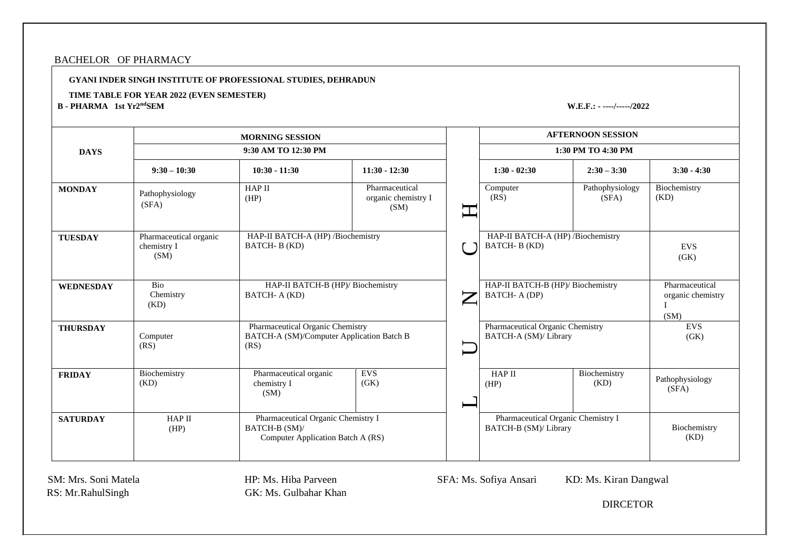### BACHELOR OF PHARMACY

**GYANI INDER SINGH INSTITUTE OF PROFESSIONAL STUDIES, DEHRADUN**

#### **TIME TABLE FOR YEAR 2022 (EVEN SEMESTER)**

**B - PHARMA 1st Yr2**

**ndSEM W.E.F.: - ----/-----/2022**

|                  |                                               | <b>MORNING SESSION</b>                                                                   |                                               |                          |                                                             | <b>AFTERNOON SESSION</b> |                                             |
|------------------|-----------------------------------------------|------------------------------------------------------------------------------------------|-----------------------------------------------|--------------------------|-------------------------------------------------------------|--------------------------|---------------------------------------------|
| <b>DAYS</b>      |                                               | 9:30 AM TO 12:30 PM                                                                      |                                               |                          |                                                             | 1:30 PM TO 4:30 PM       |                                             |
|                  | $9:30 - 10:30$                                | $10:30 - 11:30$                                                                          | $11:30 - 12:30$                               |                          | $1:30 - 02:30$                                              | $2:30 - 3:30$            | $3:30 - 4:30$                               |
| <b>MONDAY</b>    | Pathophysiology<br>(SFA)                      | <b>HAP II</b><br>(HP)                                                                    | Pharmaceutical<br>organic chemistry I<br>(SM) |                          | Computer<br>(RS)                                            | Pathophysiology<br>(SFA) | Biochemistry<br>(KD)                        |
| <b>TUESDAY</b>   | Pharmaceutical organic<br>chemistry I<br>(SM) | HAP-II BATCH-A (HP) /Biochemistry<br>BATCH-B(KD)                                         |                                               |                          | HAP-II BATCH-A (HP) /Biochemistry<br>BATCH-B(KD)            |                          | <b>EVS</b><br>(GK)                          |
| <b>WEDNESDAY</b> | Bio<br>Chemistry<br>(KD)                      | HAP-II BATCH-B (HP)/ Biochemistry<br>BATCH- A (KD)                                       |                                               | $\overline{\phantom{0}}$ | HAP-II BATCH-B (HP)/ Biochemistry<br>BATCH- A (DP)          |                          | Pharmaceutical<br>organic chemistry<br>(SM) |
| <b>THURSDAY</b>  | Computer<br>(RS)                              | Pharmaceutical Organic Chemistry<br>BATCH-A (SM)/Computer Application Batch B<br>(RS)    |                                               |                          | Pharmaceutical Organic Chemistry<br>BATCH-A (SM)/ Library   |                          | <b>EVS</b><br>(GK)                          |
| <b>FRIDAY</b>    | Biochemistry<br>(KD)                          | Pharmaceutical organic<br>chemistry I<br>(SM)                                            | <b>EVS</b><br>(GK)                            |                          | <b>HAP II</b><br>(HP)                                       | Biochemistry<br>(KD)     | Pathophysiology<br>(SFA)                    |
| <b>SATURDAY</b>  | HAP II<br>(HP)                                | Pharmaceutical Organic Chemistry I<br>BATCH-B (SM)/<br>Computer Application Batch A (RS) |                                               |                          | Pharmaceutical Organic Chemistry I<br>BATCH-B (SM)/ Library |                          | Biochemistry<br>(KD)                        |

RS: Mr.RahulSingh GK: Ms. Gulbahar Khan

SM: Mrs. Soni Matela **HP: Ms. Hiba Parveen** SFA: Ms. Sofiya Ansari KD: Ms. Kiran Dangwal

DIRCETOR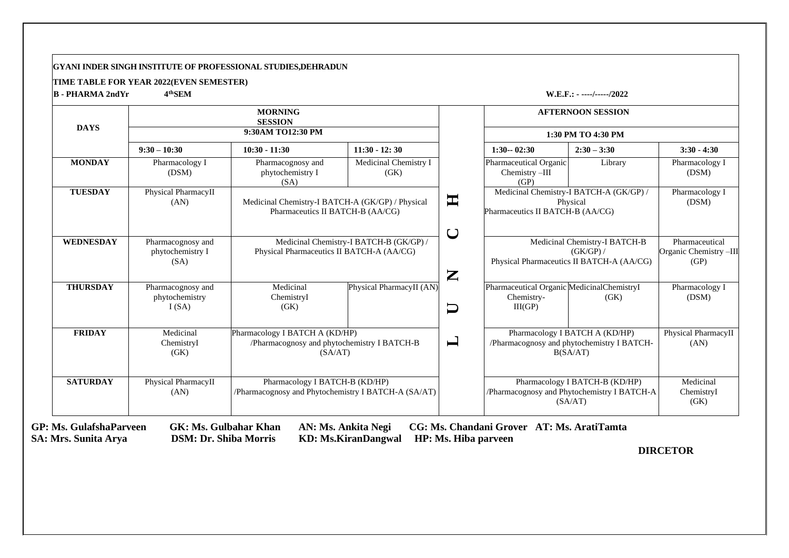#### **GYANI INDER SINGH INSTITUTE OF PROFESSIONAL STUDIES,DEHRADUN**

#### **TIME TABLE FOR YEAR 2022(EVEN SEMESTER)**

**B - PHARMA 2ndYr 4**

**thSEM W.E.F.: - ----/-----/2022**

| <b>DAYS</b>      |                                               | <b>MORNING</b><br><b>SESSION</b><br>9:30AM TO12:30 PM                                    |                                         |                |                                                                      | <b>AFTERNOON SESSION</b><br>1:30 PM TO 4:30 PM                                           |                                                  |
|------------------|-----------------------------------------------|------------------------------------------------------------------------------------------|-----------------------------------------|----------------|----------------------------------------------------------------------|------------------------------------------------------------------------------------------|--------------------------------------------------|
|                  | $9:30 - 10:30$                                | $10:30 - 11:30$                                                                          | $11:30 - 12:30$                         |                | $1:30 - 02:30$                                                       | $2:30 - 3:30$                                                                            | $3:30 - 4:30$                                    |
| <b>MONDAY</b>    | Pharmacology I<br>(DSM)                       | Pharmacognosy and<br>phytochemistry I<br>(SA)                                            | Medicinal Chemistry I<br>(GK)           |                | Pharmaceutical Organic<br>Chemistry -III<br>(GP)                     | Library                                                                                  | Pharmacology I<br>(DSM)                          |
| <b>TUESDAY</b>   | Physical PharmacyII<br>(AN)                   | Medicinal Chemistry-I BATCH-A (GK/GP) / Physical<br>Pharmaceutics II BATCH-B (AA/CG)     |                                         | 軍              | Pharmaceutics II BATCH-B (AA/CG)                                     | Medicinal Chemistry-I BATCH-A (GK/GP) /<br>Physical                                      | Pharmacology I<br>(DSM)                          |
| <b>WEDNESDAY</b> | Pharmacognosy and<br>phytochemistry I<br>(SA) | Physical Pharmaceutics II BATCH-A (AA/CG)                                                | Medicinal Chemistry-I BATCH-B (GK/GP) / | U<br>Z         |                                                                      | Medicinal Chemistry-I BATCH-B<br>(GK/GP) /<br>Physical Pharmaceutics II BATCH-A (AA/CG)  | Pharmaceutical<br>Organic Chemistry -III<br>(GP) |
| <b>THURSDAY</b>  | Pharmacognosy and<br>phytochemistry<br>I(SA)  | Medicinal<br>ChemistryI<br>(GK)                                                          | Physical PharmacyII (AN)                | $\Box$         | Pharmaceutical Organic Medicinal ChemistryI<br>Chemistry-<br>III(GP) | (GK)                                                                                     | Pharmacology I<br>(DSM)                          |
| <b>FRIDAY</b>    | Medicinal<br>ChemistryI<br>(GK)               | Pharmacology I BATCH A (KD/HP)<br>/Pharmacognosy and phytochemistry I BATCH-B<br>(SA/AT) |                                         | $\blacksquare$ |                                                                      | Pharmacology I BATCH A (KD/HP)<br>/Pharmacognosy and phytochemistry I BATCH-<br>B(SA/AT) | Physical PharmacyII<br>(AN)                      |
| <b>SATURDAY</b>  | Physical PharmacyII<br>(AN)                   | Pharmacology I BATCH-B (KD/HP)<br>/Pharmacognosy and Phytochemistry I BATCH-A (SA/AT)    |                                         |                |                                                                      | Pharmacology I BATCH-B (KD/HP)<br>/Pharmacognosy and Phytochemistry I BATCH-A<br>(SA/AT) | Medicinal<br>ChemistryI<br>(GK)                  |

**GP: Ms. GulafshaParveen GK: Ms. Gulbahar Khan AN: Ms. Ankita Negi CG: Ms. Chandani Grover AT: Ms. AratiTamta**

 **SA: Mrs. Sunita Arya DSM: Dr. Shiba Morris KD: Ms.KiranDangwal HP: Ms. Hiba parveen**

 **DIRCETOR**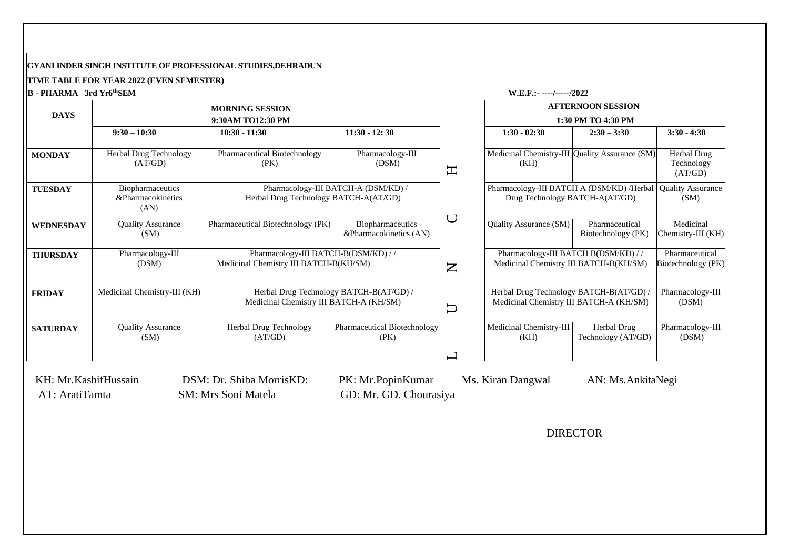#### **GYANI INDER SINGH INSTITUTE OF PROFESSIONAL STUDIES,DEHRADUN**

**TIME TABLE FOR YEAR 2022 (EVEN SEMESTER)**

**B - PHARMA 3rd Yr6**

**thSEM W.E.F.:- ----/-----/2022**

|                  |                                               | <b>MORNING SESSION</b>                                                             |                                            |                           |                                                                                    | <b>AFTERNOON SESSION</b>             |                                      |
|------------------|-----------------------------------------------|------------------------------------------------------------------------------------|--------------------------------------------|---------------------------|------------------------------------------------------------------------------------|--------------------------------------|--------------------------------------|
| <b>DAYS</b>      |                                               | 9:30AM TO12:30 PM                                                                  |                                            |                           |                                                                                    | 1:30 PM TO 4:30 PM                   |                                      |
|                  | $9:30 - 10:30$                                | $10:30 - 11:30$                                                                    | $11:30 - 12:30$                            |                           | $1:30 - 02:30$                                                                     | $2:30 - 3:30$                        | $3:30 - 4:30$                        |
| <b>MONDAY</b>    | Herbal Drug Technology<br>(AT/GD)             | Pharmaceutical Biotechnology<br>(PK)                                               | Pharmacology-III<br>(DSM)                  | $\mathbf{\Xi}$            | Medicinal Chemistry-III Quality Assurance (SM)<br>(KH)                             |                                      | Herbal Drug<br>Technology<br>(AT/GD) |
| <b>TUESDAY</b>   | Biopharmaceutics<br>&Pharmacokinetics<br>(AN) | Herbal Drug Technology BATCH-A(AT/GD)                                              | Pharmacology-III BATCH-A (DSM/KD) /        |                           | Pharmacology-III BATCH A (DSM/KD) /Herbal<br>Drug Technology BATCH-A(AT/GD)        |                                      | <b>Quality Assurance</b><br>(SM)     |
| <b>WEDNESDAY</b> | <b>Quality Assurance</b><br>(SM)              | Pharmaceutical Biotechnology (PK)                                                  | Biopharmaceutics<br>&Pharmacokinetics (AN) | C                         | Quality Assurance (SM)                                                             | Pharmaceutical<br>Biotechnology (PK) | Medicinal<br>Chemistry-III (KH)      |
| <b>THURSDAY</b>  | Pharmacology-III<br>(DSM)                     | Pharmacology-III BATCH-B(DSM/KD) //<br>Medicinal Chemistry III BATCH-B(KH/SM)      |                                            | $\mathbf{Z}$              | Pharmacology-III BATCH B(DSM/KD) //<br>Medicinal Chemistry III BATCH-B(KH/SM)      |                                      | Pharmaceutical<br>Biotechnology (PK) |
| <b>FRIDAY</b>    | Medicinal Chemistry-III (KH)                  | Herbal Drug Technology BATCH-B(AT/GD) /<br>Medicinal Chemistry III BATCH-A (KH/SM) |                                            | $\overline{\overline{L}}$ | Herbal Drug Technology BATCH-B(AT/GD) /<br>Medicinal Chemistry III BATCH-A (KH/SM) |                                      | Pharmacology-III<br>(DSM)            |
| <b>SATURDAY</b>  | <b>Quality Assurance</b><br>(SM)              | Herbal Drug Technology<br>(AT/GD)                                                  | Pharmaceutical Biotechnology<br>(PK)       |                           | Medicinal Chemistry-III<br>(KH)                                                    | Herbal Drug<br>Technology (AT/GD)    | Pharmacology-III<br>(DSM)            |

AT: AratiTamta SM: Mrs Soni Matela GD: Mr. GD. Chourasiya

KH: Mr.KashifHussain DSM: Dr. Shiba MorrisKD: PK: Mr.PopinKumar Ms. Kiran Dangwal AN: Ms.AnkitaNegi

DIRECTOR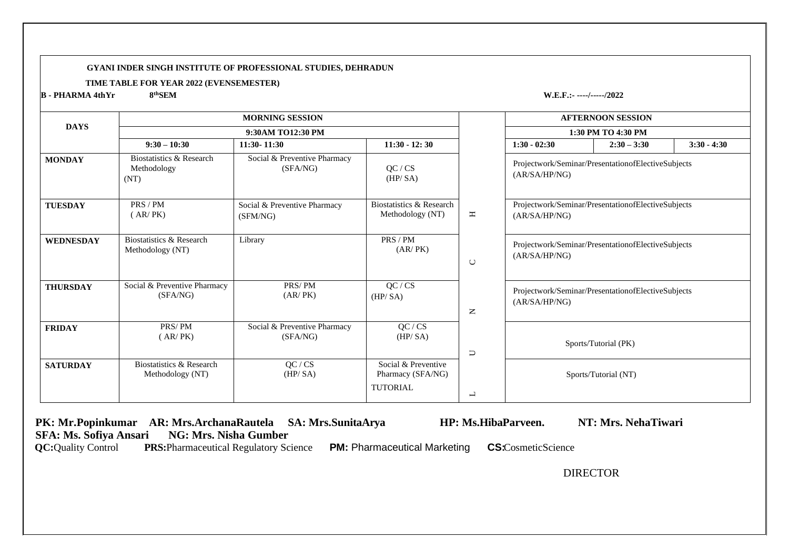#### **GYANI INDER SINGH INSTITUTE OF PROFESSIONAL STUDIES, DEHRADUN**

#### **TIME TABLE FOR YEAR 2022 (EVENSEMESTER)**

**B - PHARMA 4thYr 8**

**thSEM W.E.F.:- ----/-----/2022**

|                  |                                                 | <b>MORNING SESSION</b>                   |                                                             |                          |                                                                     | <b>AFTERNOON SESSION</b>                           |               |
|------------------|-------------------------------------------------|------------------------------------------|-------------------------------------------------------------|--------------------------|---------------------------------------------------------------------|----------------------------------------------------|---------------|
| <b>DAYS</b>      |                                                 | 9:30AM TO12:30 PM                        |                                                             |                          |                                                                     | 1:30 PM TO 4:30 PM                                 |               |
|                  | $9:30 - 10:30$                                  | $11:30 - 11:30$                          | $11:30 - 12:30$                                             |                          | $1:30 - 02:30$                                                      | $2:30 - 3:30$                                      | $3:30 - 4:30$ |
| <b>MONDAY</b>    | Biostatistics & Research<br>Methodology<br>(NT) | Social & Preventive Pharmacy<br>(SFA/NG) | QC / CS<br>(HP/SA)                                          |                          | (AR/SA/HP/NG)                                                       | Projectwork/Seminar/PresentationofElectiveSubjects |               |
| <b>TUESDAY</b>   | PRS / PM<br>(AR/PK)                             | Social & Preventive Pharmacy<br>(SFM/NG) | <b>Biostatistics &amp; Research</b><br>Methodology (NT)     | $\blacksquare$           | (AR/SA/HP/NG)                                                       | Projectwork/Seminar/PresentationofElectiveSubjects |               |
| <b>WEDNESDAY</b> | Biostatistics & Research<br>Methodology (NT)    | Library                                  | PRS / PM<br>(AR/PK)                                         | $\cup$                   | Projectwork/Seminar/PresentationofElectiveSubjects<br>(AR/SA/HP/NG) |                                                    |               |
| <b>THURSDAY</b>  | Social & Preventive Pharmacy<br>(SFA/NG)        | PRS/PM<br>(AR/PK)                        | QC / CS<br>(HP/SA)                                          | $\mathsf{z}$             | (AR/SA/HP/NG)                                                       | Projectwork/Seminar/PresentationofElectiveSubjects |               |
| <b>FRIDAY</b>    | PRS/PM<br>(AR/PK)                               | Social & Preventive Pharmacy<br>(SFA/NG) | QC / CS<br>(HP/SA)                                          | $\Box$                   |                                                                     | Sports/Tutorial (PK)                               |               |
| <b>SATURDAY</b>  | Biostatistics & Research<br>Methodology (NT)    | QC / CS<br>(HP/SA)                       | Social & Preventive<br>Pharmacy (SFA/NG)<br><b>TUTORIAL</b> |                          |                                                                     | Sports/Tutorial (NT)                               |               |
|                  |                                                 |                                          |                                                             | $\overline{\phantom{0}}$ |                                                                     |                                                    |               |

 **PK: Mr.Popinkumar** AR: Mrs.ArchanaRautela SA: Mrs.SunitaArya HP: Ms.HibaParveen. NT: Mrs. NehaTiwari <br>SFA: Ms. Sofiya Ansari NG: Mrs. Nisha Gumber **SFA: Ms. Sofiya Ansari<br>QC: Quality Control PR PRS:**Pharmaceutical Regulatory Science **PM:** Pharmaceutical Marketing **CS:**CosmeticScience DIRECTOR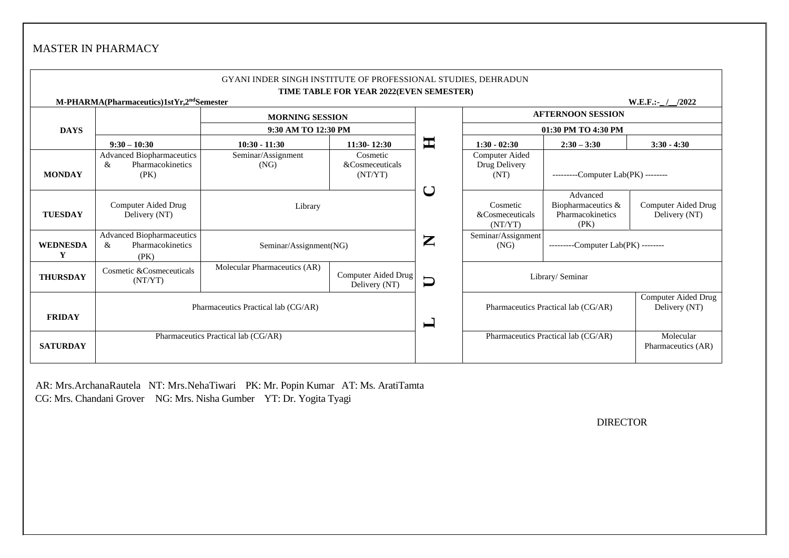# MASTER IN PHARMACY

|                      |                                                                   | GYANI INDER SINGH INSTITUTE OF PROFESSIONAL STUDIES, DEHRADUN | TIME TABLE FOR YEAR 2022(EVEN SEMESTER) |                                        |                                                                              |                                      |                      |  |  |
|----------------------|-------------------------------------------------------------------|---------------------------------------------------------------|-----------------------------------------|----------------------------------------|------------------------------------------------------------------------------|--------------------------------------|----------------------|--|--|
|                      | M-PHARMA(Pharmaceutics)1stYr,2 <sup>nd</sup> Semester             |                                                               |                                         |                                        |                                                                              |                                      | $W.E.F.:\_$<br>/2022 |  |  |
|                      |                                                                   | <b>MORNING SESSION</b>                                        |                                         | <b>AFTERNOON SESSION</b>               |                                                                              |                                      |                      |  |  |
| <b>DAYS</b>          |                                                                   | 9:30 AM TO 12:30 PM                                           |                                         |                                        | 01:30 PM TO 4:30 PM                                                          |                                      |                      |  |  |
|                      | $9:30 - 10:30$                                                    | $10:30 - 11:30$                                               | $11:30 - 12:30$                         | 軍                                      | $1:30 - 02:30$                                                               | $2:30 - 3:30$                        | $3:30 - 4:30$        |  |  |
| <b>MONDAY</b>        | <b>Advanced Biopharmaceutics</b><br>Pharmacokinetics<br>&<br>(PK) | Seminar/Assignment<br>(NG)                                    | Cosmetic<br>&Cosmeceuticals<br>(NT/YT)  |                                        | Computer Aided<br>Drug Delivery<br>--------Computer Lab(PK) --------<br>(NT) |                                      |                      |  |  |
| <b>TUESDAY</b>       | Computer Aided Drug<br>Delivery (NT)                              | Library                                                       | ご                                       | Cosmetic<br>&Cosmeceuticals<br>(NT/YT) | Advanced<br>Biopharmaceutics &<br>Pharmacokinetics<br>(PK)                   | Computer Aided Drug<br>Delivery (NT) |                      |  |  |
| <b>WEDNESDA</b><br>Y | <b>Advanced Biopharmaceutics</b><br>Pharmacokinetics<br>&<br>(PK) | Seminar/Assignment(NG)                                        |                                         |                                        | Seminar/Assignment<br>(NG)                                                   | ---------Computer Lab(PK) --------   |                      |  |  |
| <b>THURSDAY</b>      | Cosmetic & Cosmeceuticals<br>(NT/YT)                              | Molecular Pharmaceutics (AR)                                  | Computer Aided Drug<br>Delivery (NT)    | $\Box$                                 |                                                                              | Library/ Seminar                     |                      |  |  |
| <b>FRIDAY</b>        | Pharmaceutics Practical lab (CG/AR)                               |                                                               | $\Box$                                  | Pharmaceutics Practical lab (CG/AR)    | Computer Aided Drug<br>Delivery (NT)                                         |                                      |                      |  |  |
| <b>SATURDAY</b>      |                                                                   | Pharmaceutics Practical lab (CG/AR)                           | Pharmaceutics Practical lab (CG/AR)     | Molecular<br>Pharmaceutics (AR)        |                                                                              |                                      |                      |  |  |

AR: Mrs.ArchanaRautela NT: Mrs.NehaTiwari PK: Mr. Popin Kumar AT: Ms. AratiTamta CG: Mrs. Chandani Grover NG: Mrs. Nisha Gumber YT: Dr. Yogita Tyagi

DIRECTOR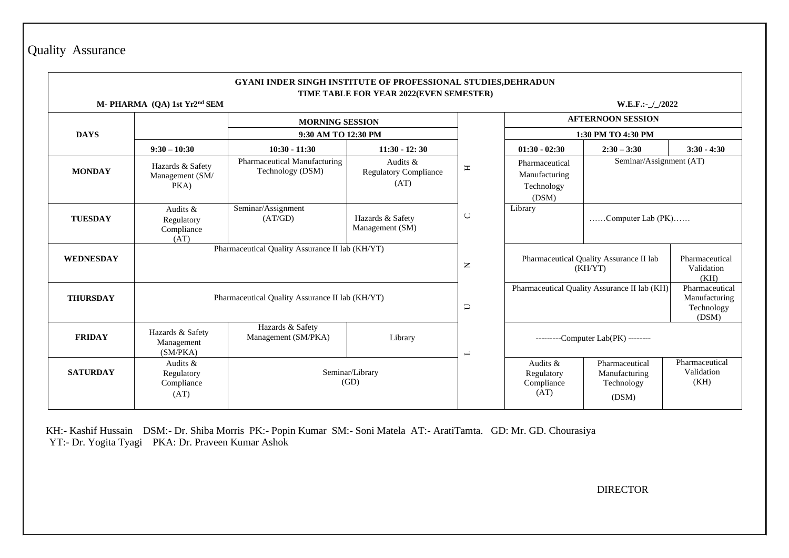| Quality | Assurance |
|---------|-----------|
|---------|-----------|

#### **GYANI INDER SINGH INSTITUTE OF PROFESSIONAL STUDIES,DEHRADUN TIME TABLE FOR YEAR 2022(EVEN SEMESTER)**

**M- PHARMA (QA) 1st Yr2**

**w.E.F.:**- $\frac{1}{20222}$ 

|                 |                                                | <b>MORNING SESSION</b>                           |                                                  |                          |                                                                                                                                                                                                                                                                                                                                                                                                               |                         |                                      |  |  |
|-----------------|------------------------------------------------|--------------------------------------------------|--------------------------------------------------|--------------------------|---------------------------------------------------------------------------------------------------------------------------------------------------------------------------------------------------------------------------------------------------------------------------------------------------------------------------------------------------------------------------------------------------------------|-------------------------|--------------------------------------|--|--|
| <b>DAYS</b>     |                                                | 9:30 AM TO 12:30 PM                              |                                                  |                          |                                                                                                                                                                                                                                                                                                                                                                                                               |                         |                                      |  |  |
|                 | $9:30 - 10:30$                                 | $10:30 - 11:30$                                  | $11:30 - 12:30$                                  |                          | <b>AFTERNOON SESSION</b><br>1:30 PM TO 4:30 PM<br>$01:30 - 02:30$<br>$2:30 - 3:30$<br>Pharmaceutical<br>Manufacturing<br>Technology<br>(DSM)<br>Library<br>Pharmaceutical Quality Assurance II lab<br>(KH/YT)<br>Pharmaceutical Quality Assurance II lab (KH)<br>---------Computer Lab(PK) --------<br>Audits &<br>Pharmaceutical<br>Regulatory<br>Manufacturing<br>Compliance<br>Technology<br>(AT)<br>(DSM) | $3:30 - 4:30$           |                                      |  |  |
| <b>MONDAY</b>   | Hazards & Safety<br>Management (SM/<br>PKA)    | Pharmaceutical Manufacturing<br>Technology (DSM) | Audits &<br><b>Regulatory Compliance</b><br>(AT) | $\mathbf{\Xi}$           |                                                                                                                                                                                                                                                                                                                                                                                                               | Seminar/Assignment (AT) |                                      |  |  |
| <b>TUESDAY</b>  | Audits &<br>Regulatory<br>Compliance<br>(AT)   | Seminar/Assignment<br>(AT/GD)                    | Hazards & Safety<br>Management (SM)              | $\cup$                   |                                                                                                                                                                                                                                                                                                                                                                                                               | Computer Lab (PK)       |                                      |  |  |
| WEDNESDAY       |                                                | Pharmaceutical Quality Assurance II lab (KH/YT)  |                                                  | $\mathsf{z}$             |                                                                                                                                                                                                                                                                                                                                                                                                               |                         | Pharmaceutical<br>Validation<br>(KH) |  |  |
| <b>THURSDAY</b> |                                                | Pharmaceutical Quality Assurance II lab (KH/YT)  | $\Box$                                           |                          | Pharmaceutical<br>Manufacturing<br>Technology<br>(DSM)                                                                                                                                                                                                                                                                                                                                                        |                         |                                      |  |  |
| <b>FRIDAY</b>   | Hazards & Safety<br>Management<br>(SM/PKA)     | Hazards & Safety<br>Management (SM/PKA)          | Library                                          | $\overline{\phantom{0}}$ |                                                                                                                                                                                                                                                                                                                                                                                                               |                         |                                      |  |  |
| <b>SATURDAY</b> | Audits $&$<br>Regulatory<br>Compliance<br>(AT) |                                                  | Seminar/Library<br>(GD)                          |                          |                                                                                                                                                                                                                                                                                                                                                                                                               |                         | Pharmaceutical<br>Validation<br>(KH) |  |  |

 KH:- Kashif Hussain DSM:- Dr. Shiba Morris PK:- Popin Kumar SM:- Soni Matela AT:- AratiTamta. GD: Mr. GD. Chourasiya YT:- Dr. Yogita Tyagi PKA: Dr. Praveen Kumar Ashok

DIRECTOR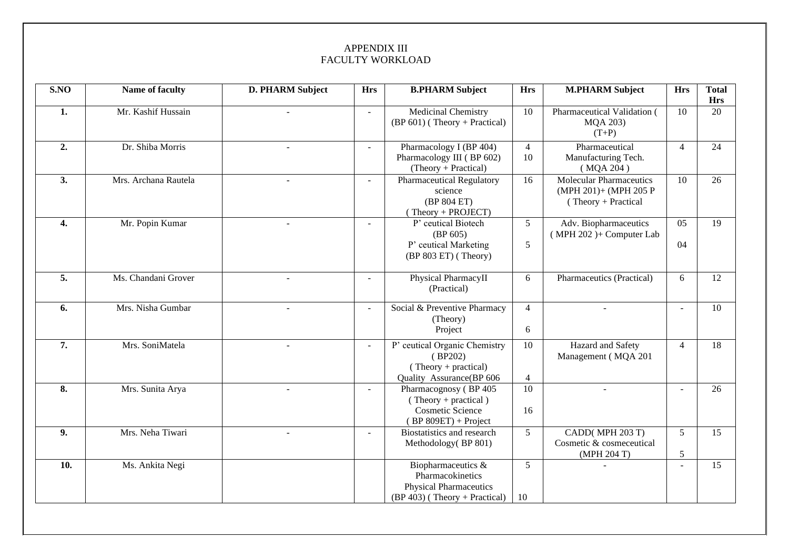### APPENDIX III FACULTY WORKLOAD

| S.NO | Name of faculty      | D. PHARM Subject         | <b>Hrs</b> | <b>B.PHARM Subject</b>                                                                                   | <b>Hrs</b>           | <b>M.PHARM Subject</b>                                                             | <b>Hrs</b>     | <b>Total</b>     |
|------|----------------------|--------------------------|------------|----------------------------------------------------------------------------------------------------------|----------------------|------------------------------------------------------------------------------------|----------------|------------------|
| 1.   | Mr. Kashif Hussain   |                          |            | Medicinal Chemistry<br>$(BP 601)$ (Theory + Practical)                                                   | 10                   | Pharmaceutical Validation (<br>MQA 203)<br>$(T+P)$                                 | 10             | <b>Hrs</b><br>20 |
| 2.   | Dr. Shiba Morris     |                          |            | Pharmacology I (BP 404)<br>Pharmacology III (BP 602)<br>(Theory + Practical)                             | $\overline{4}$<br>10 | Pharmaceutical<br>Manufacturing Tech.<br>(MQA 204)                                 | $\overline{4}$ | 24               |
| 3.   | Mrs. Archana Rautela |                          |            | <b>Pharmaceutical Regulatory</b><br>science<br>(BP 804 ET)<br>$(Theory + PROJECT)$                       | 16                   | <b>Molecular Pharmaceutics</b><br>(MPH 201)+ (MPH 205 P<br>$( Theory + Practical)$ | 10             | 26               |
| 4.   | Mr. Popin Kumar      | $\overline{a}$           | $\sim$     | P' ceutical Biotech<br>(BP 605)<br>P' ceutical Marketing<br>$(BP 803 ET)$ (Theory)                       | $5\overline{)}$<br>5 | Adv. Biopharmaceutics<br>$(MPH 202) + Computer Lab$                                | 05<br>04       | 19               |
| 5.   | Ms. Chandani Grover  | $\overline{\phantom{a}}$ |            | Physical PharmacyII<br>(Practical)                                                                       | 6                    | Pharmaceutics (Practical)                                                          | 6              | 12               |
| 6.   | Mrs. Nisha Gumbar    | $\overline{a}$           | $\sim$     | Social & Preventive Pharmacy<br>(Theory)<br>Project                                                      | $\overline{4}$<br>6  | $\overline{a}$                                                                     |                | 10               |
| 7.   | Mrs. SoniMatela      | $\overline{a}$           |            | P' ceutical Organic Chemistry<br>(BP202)<br>$(Theory + practical)$<br>Quality Assurance(BP 606           | 10<br>4              | Hazard and Safety<br>Management (MQA 201                                           | $\overline{4}$ | 18               |
| 8.   | Mrs. Sunita Arya     | $\sim$                   |            | Pharmacognosy (BP 405<br>(Theory + practical)<br><b>Cosmetic Science</b><br>$(BP 809ET) + Project$       | 10<br>16             | $\overline{a}$                                                                     |                | 26               |
| 9.   | Mrs. Neha Tiwari     | ÷                        | $\sim$     | Biostatistics and research<br>Methodology(BP 801)                                                        | 5                    | CADD(MPH 203 T)<br>Cosmetic & cosmeceutical<br>(MPH 204 T)                         | 5<br>5         | 15               |
| 10.  | Ms. Ankita Negi      |                          |            | Biopharmaceutics &<br>Pharmacokinetics<br><b>Physical Pharmaceutics</b><br>(BP 403) (Theory + Practical) | 5<br>10              |                                                                                    |                | 15               |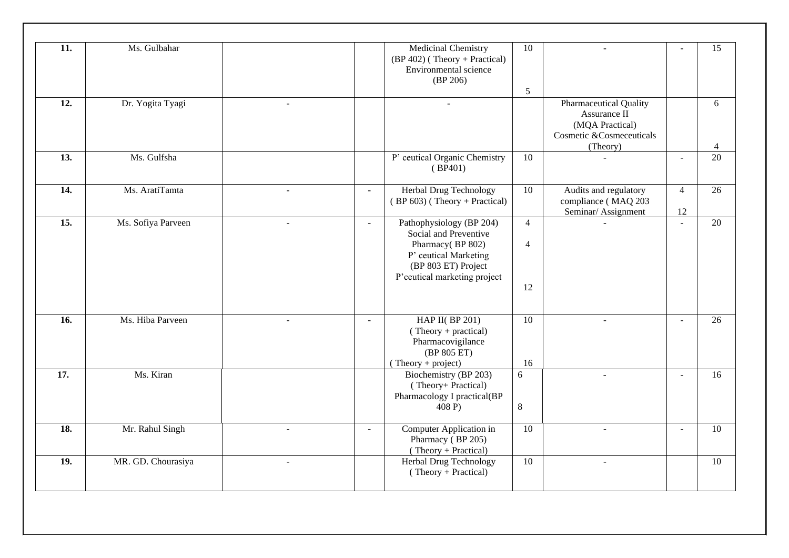| 11.               | Ms. Gulbahar       |              |              | <b>Medicinal Chemistry</b><br>$(BP 402)$ (Theory + Practical)<br>Environmental science<br>(BP 206)                                                    | 10<br>5                                |                                                                                                          |                      | 15                  |
|-------------------|--------------------|--------------|--------------|-------------------------------------------------------------------------------------------------------------------------------------------------------|----------------------------------------|----------------------------------------------------------------------------------------------------------|----------------------|---------------------|
| $\overline{12}$ . | Dr. Yogita Tyagi   |              |              |                                                                                                                                                       |                                        | <b>Pharmaceutical Quality</b><br>Assurance II<br>(MQA Practical)<br>Cosmetic &Cosmeceuticals<br>(Theory) |                      | 6<br>$\overline{4}$ |
| 13.               | Ms. Gulfsha        |              |              | P' ceutical Organic Chemistry<br>(BP401)                                                                                                              | 10                                     | $\overline{a}$                                                                                           | $\sim$               | 20                  |
| 14.               | Ms. AratiTamta     | $\sim$       | $\sim$       | Herbal Drug Technology<br>$(BP 603)$ (Theory + Practical)                                                                                             | 10                                     | Audits and regulatory<br>compliance (MAQ 203<br>Seminar/Assignment                                       | $\overline{4}$<br>12 | 26                  |
| $\overline{15}$ . | Ms. Sofiya Parveen |              | $\mathbf{r}$ | Pathophysiology (BP 204)<br>Social and Preventive<br>Pharmacy(BP 802)<br>P' ceutical Marketing<br>(BP 803 ET) Project<br>P'ceutical marketing project | $\overline{4}$<br>$\overline{4}$<br>12 |                                                                                                          | $\overline{a}$       | 20                  |
| 16.               | Ms. Hiba Parveen   | $\sim$       | $\mathbf{r}$ | HAP II( $BP 201$ )<br>$(Theory + practical)$<br>Pharmacovigilance<br>(BP 805 ET)<br>$(Theory + project)$                                              | 10<br>16                               | $\overline{a}$                                                                                           | $\sim$               | 26                  |
| 17.               | Ms. Kiran          |              |              | Biochemistry (BP 203)<br>(Theory+ Practical)<br>Pharmacology I practical(BP<br>408 P)                                                                 | 6<br>8                                 | ٠                                                                                                        |                      | 16                  |
| 18.               | Mr. Rahul Singh    | $\mathbf{r}$ | $\sim$       | Computer Application in<br>Pharmacy (BP 205)<br>(Theory + Practical)                                                                                  | 10                                     | $\overline{a}$                                                                                           | $\sim$               | 10                  |
| 19.               | MR. GD. Chourasiya |              |              | Herbal Drug Technology<br>$(Theory + Practical)$                                                                                                      | 10                                     | $\overline{a}$                                                                                           |                      | 10                  |